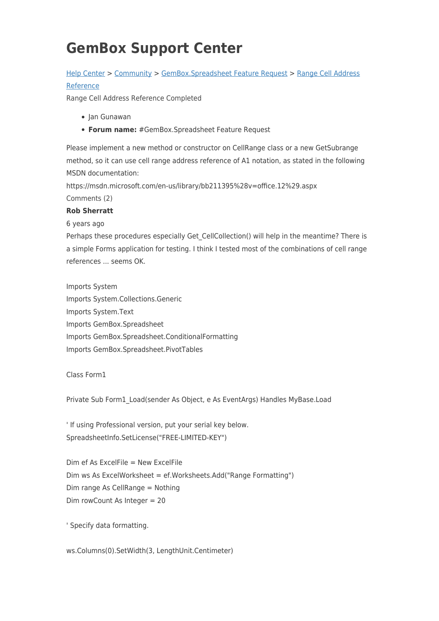# **GemBox Support Center**

### [Help Center](https://support.gemboxsoftware.com/) > [Community](https://support.gemboxsoftware.com/community) > [GemBox.Spreadsheet Feature Request](https://support.gemboxsoftware.com/community/browse/type-1/view-list/viewmode-compact) > [Range Cell Address](https://support.gemboxsoftware.com/community/view/range-cell-address-reference) [Reference](https://support.gemboxsoftware.com/community/view/range-cell-address-reference)

Range Cell Address Reference Completed

- Jan Gunawan
- **Forum name:** #GemBox.Spreadsheet Feature Request

Please implement a new method or constructor on CellRange class or a new GetSubrange method, so it can use cell range address reference of A1 notation, as stated in the following MSDN documentation:

https://msdn.microsoft.com/en-us/library/bb211395%28v=office.12%29.aspx Comments (2)

#### **Rob Sherratt**

6 years ago

Perhaps these procedures especially Get CellCollection() will help in the meantime? There is a simple Forms application for testing. I think I tested most of the combinations of cell range references ... seems OK.

Imports System Imports System.Collections.Generic Imports System.Text Imports GemBox.Spreadsheet Imports GemBox.Spreadsheet.ConditionalFormatting Imports GemBox.Spreadsheet.PivotTables

#### Class Form1

Private Sub Form1\_Load(sender As Object, e As EventArgs) Handles MyBase.Load

' If using Professional version, put your serial key below. SpreadsheetInfo.SetLicense("FREE-LIMITED-KEY")

Dim ef As ExcelFile = New ExcelFile Dim ws As ExcelWorksheet = ef.Worksheets.Add("Range Formatting") Dim range As CellRange = Nothing Dim rowCount As Integer = 20

' Specify data formatting.

ws.Columns(0).SetWidth(3, LengthUnit.Centimeter)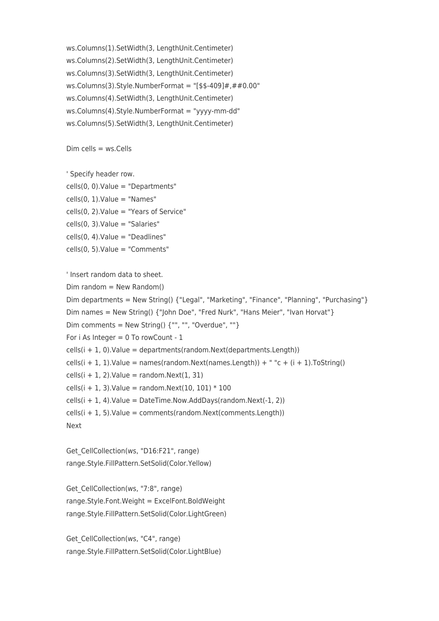ws.Columns(1).SetWidth(3, LengthUnit.Centimeter) ws.Columns(2).SetWidth(3, LengthUnit.Centimeter) ws.Columns(3).SetWidth(3, LengthUnit.Centimeter) ws.Columns(3).Style.NumberFormat = "[\$\$-409]#,##0.00" ws.Columns(4).SetWidth(3, LengthUnit.Centimeter) ws.Columns(4).Style.NumberFormat = "yyyy-mm-dd" ws.Columns(5).SetWidth(3, LengthUnit.Centimeter)

 $Dim$  cells =  $ws$ . Cells

' Specify header row.

cells(0, 0).Value = "Departments"  $cells(0, 1).$ Value = "Names"  $cells(0, 2).$ Value = "Years of Service"  $cells(0, 3)$ . Value = "Salaries"  $cells(0, 4)$ . Value = "Deadlines" cells(0, 5).Value = "Comments"

' Insert random data to sheet.  $Dim$  random = New Random() Dim departments = New String() {"Legal", "Marketing", "Finance", "Planning", "Purchasing"} Dim names = New String() {"John Doe", "Fred Nurk", "Hans Meier", "Ivan Horvat"} Dim comments = New String()  $\{$  "", "", "Overdue", ""} For i As Integer =  $0$  To rowCount -  $1$  $cells(i + 1, 0).$ Value = departments(random.Next(departments.Length)) cells(i + 1, 1).Value = names(random.Next(names.Length)) +  $"c + (i + 1)$ .ToString()  $cells(i + 1, 2).$ Value = random.Next $(1, 31)$ cells(i + 1, 3). Value = random. Next(10, 101)  $*$  100  $cells(i + 1, 4)$ . Value = DateTime. Now. AddDays(random. Next(-1, 2)) cells(i + 1, 5).Value = comments(random.Next(comments.Length)) Next

Get CellCollection(ws, "D16:F21", range) range.Style.FillPattern.SetSolid(Color.Yellow)

Get CellCollection(ws, "7:8", range) range.Style.Font.Weight = ExcelFont.BoldWeight range.Style.FillPattern.SetSolid(Color.LightGreen)

Get CellCollection(ws, "C4", range) range.Style.FillPattern.SetSolid(Color.LightBlue)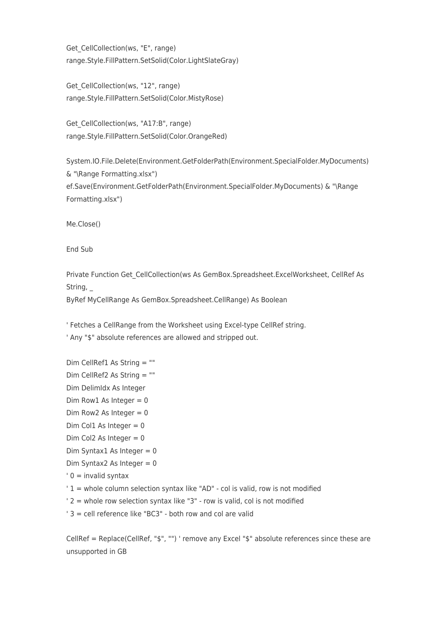Get CellCollection(ws, "E", range) range.Style.FillPattern.SetSolid(Color.LightSlateGray)

Get CellCollection(ws, "12", range) range.Style.FillPattern.SetSolid(Color.MistyRose)

Get CellCollection(ws, "A17:B", range) range.Style.FillPattern.SetSolid(Color.OrangeRed)

System.IO.File.Delete(Environment.GetFolderPath(Environment.SpecialFolder.MyDocuments) & "\Range Formatting.xlsx") ef.Save(Environment.GetFolderPath(Environment.SpecialFolder.MyDocuments) & "\Range

Formatting.xlsx")

Me.Close()

End Sub

Private Function Get\_CellCollection(ws As GemBox.Spreadsheet.ExcelWorksheet, CellRef As String, \_

ByRef MyCellRange As GemBox.Spreadsheet.CellRange) As Boolean

' Fetches a CellRange from the Worksheet using Excel-type CellRef string.

' Any "\$" absolute references are allowed and stripped out.

- Dim CellRef1 As String = ""
- Dim CellRef2 As String = ""
- Dim DelimIdx As Integer
- Dim Row1 As Integer =  $0$
- Dim Row2 As Integer  $= 0$
- Dim Col1 As Integer =  $0$
- Dim Col2 As Integer  $= 0$
- Dim Syntax1 As Integer =  $0$
- Dim Syntax2 As Integer =  $0$
- $' 0 =$  invalid syntax
- ' 1 = whole column selection syntax like "AD" col is valid, row is not modified
- ' 2 = whole row selection syntax like "3" row is valid, col is not modified
- ' 3 = cell reference like "BC3" both row and col are valid

CellRef = Replace(CellRef, "\$", "") ' remove any Excel "\$" absolute references since these are unsupported in GB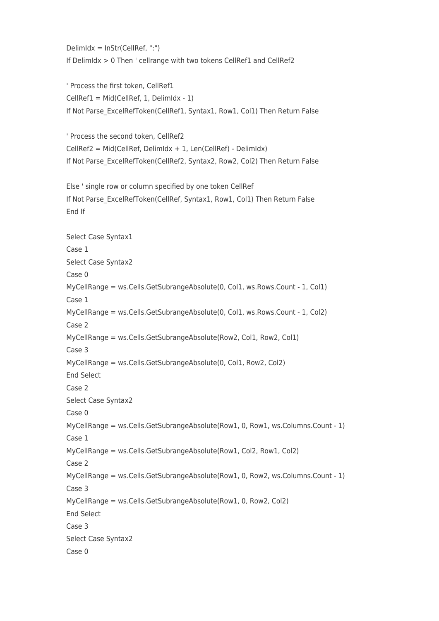DelimIdx = InStr(CellRef, ":") If DelimIdx > 0 Then ' cellrange with two tokens CellRef1 and CellRef2

' Process the first token, CellRef1 CellRef1 = Mid(CellRef, 1, DelimIdx - 1) If Not Parse\_ExcelRefToken(CellRef1, Syntax1, Row1, Col1) Then Return False

' Process the second token, CellRef2 CellRef2 = Mid(CellRef, DelimIdx + 1, Len(CellRef) - DelimIdx) If Not Parse\_ExcelRefToken(CellRef2, Syntax2, Row2, Col2) Then Return False

Else ' single row or column specified by one token CellRef If Not Parse\_ExcelRefToken(CellRef, Syntax1, Row1, Col1) Then Return False End If

Select Case Syntax1 Case 1 Select Case Syntax2 Case 0 MyCellRange = ws.Cells.GetSubrangeAbsolute(0, Col1, ws.Rows.Count - 1, Col1) Case 1 MyCellRange = ws.Cells.GetSubrangeAbsolute(0, Col1, ws.Rows.Count - 1, Col2) Case 2 MyCellRange = ws.Cells.GetSubrangeAbsolute(Row2, Col1, Row2, Col1) Case 3 MyCellRange = ws.Cells.GetSubrangeAbsolute(0, Col1, Row2, Col2) End Select Case 2 Select Case Syntax2 Case 0 MyCellRange = ws.Cells.GetSubrangeAbsolute(Row1, 0, Row1, ws.Columns.Count - 1) Case 1 MyCellRange = ws.Cells.GetSubrangeAbsolute(Row1, Col2, Row1, Col2) Case 2 MyCellRange = ws.Cells.GetSubrangeAbsolute(Row1, 0, Row2, ws.Columns.Count - 1) Case 3 MyCellRange = ws.Cells.GetSubrangeAbsolute(Row1, 0, Row2, Col2) End Select Case 3 Select Case Syntax2 Case 0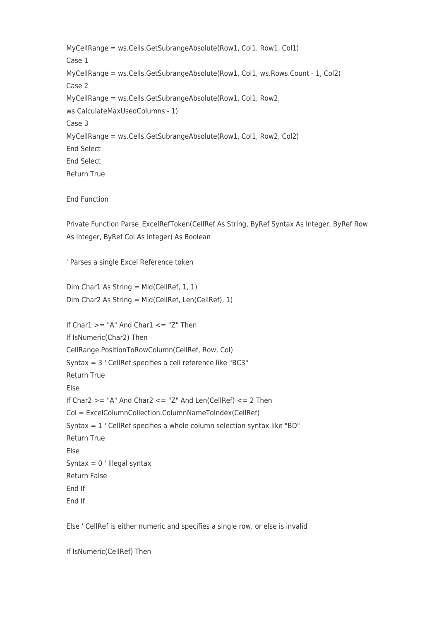MyCellRange = ws.Cells.GetSubrangeAbsolute(Row1, Col1, Row1, Col1) Case 1 MyCellRange = ws.Cells.GetSubrangeAbsolute(Row1, Col1, ws.Rows.Count - 1, Col2) Case 2 MyCellRange = ws.Cells.GetSubrangeAbsolute(Row1, Col1, Row2, ws.CalculateMaxUsedColumns - 1) Case 3 MyCellRange = ws.Cells.GetSubrangeAbsolute(Row1, Col1, Row2, Col2) End Select End Select Return True

End Function

Private Function Parse\_ExcelRefToken(CellRef As String, ByRef Syntax As Integer, ByRef Row As Integer, ByRef Col As Integer) As Boolean

' Parses a single Excel Reference token

Dim Char1 As String = Mid(CellRef, 1, 1) Dim Char2 As String = Mid(CellRef, Len(CellRef), 1)

If  $Char1 \geq$  "A" And  $Char1 \leq$  "Z" Then If IsNumeric(Char2) Then CellRange.PositionToRowColumn(CellRef, Row, Col) Syntax = 3 ' CellRef specifies a cell reference like "BC3" Return True Else If  $Char2 \geq$  "A" And  $Char2 \leq$  "Z" And  $Len(CellRef) \leq 2$  Then Col = ExcelColumnCollection.ColumnNameToIndex(CellRef) Syntax = 1 ' CellRef specifies a whole column selection syntax like "BD" Return True Else Syntax =  $0$  ' Illegal syntax Return False End If End If

Else ' CellRef is either numeric and specifies a single row, or else is invalid

If IsNumeric(CellRef) Then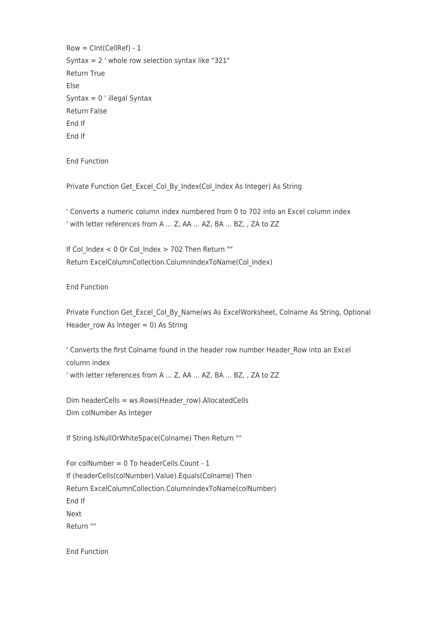Row = CInt(CellRef) - 1 Syntax =  $2'$  whole row selection syntax like "321" Return True Else Syntax =  $0$  ' illegal Syntax Return False End If End If

End Function

Private Function Get Excel Col By Index(Col Index As Integer) As String

' Converts a numeric column index numbered from 0 to 702 into an Excel column index ' with letter references from A ... Z, AA ... AZ, BA ... BZ, , ZA to ZZ

If Col Index < 0 Or Col Index > 702 Then Return "" Return ExcelColumnCollection.ColumnIndexToName(Col\_Index)

End Function

Private Function Get Excel Col By Name(ws As ExcelWorksheet, Colname As String, Optional Header row As Integer = 0) As String

' Converts the first Colname found in the header row number Header\_Row into an Excel column index

' with letter references from A ... Z, AA ... AZ, BA ... BZ, , ZA to ZZ

Dim headerCells = ws.Rows(Header\_row).AllocatedCells Dim colNumber As Integer

If String.IsNullOrWhiteSpace(Colname) Then Return ""

For colNumber = 0 To headerCells.Count - 1 If (headerCells(colNumber).Value).Equals(Colname) Then Return ExcelColumnCollection.ColumnIndexToName(colNumber) End If Next Return ""

End Function